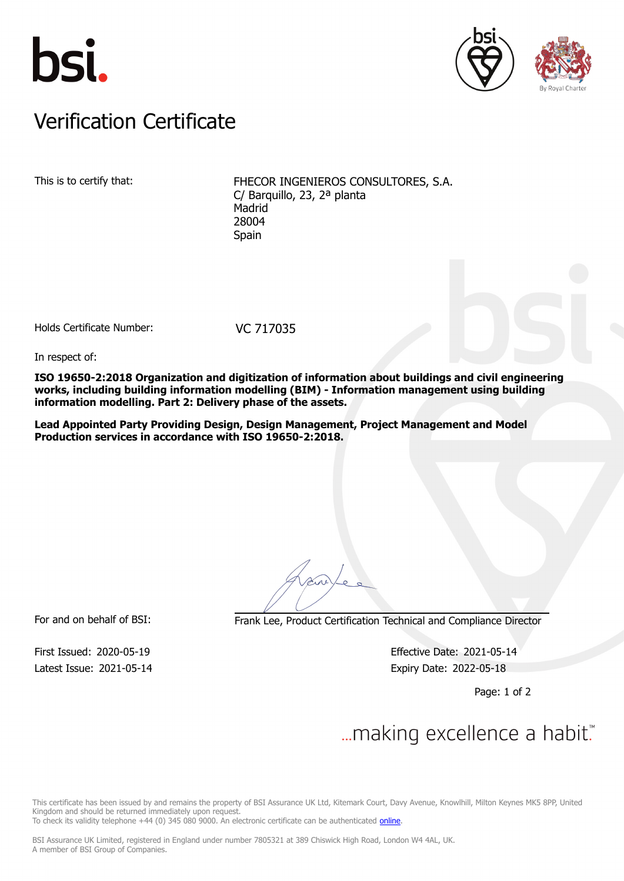





## Verification Certificate Verification Certificate

This is to certify that: FHECOR INGENIEROS CONSULTORES, S.A. C/ Barquillo, 23, 2ª planta Madrid 28004 Spain

Holds Certificate Number: VC 717035

In respect of:

**ISO 19650-2:2018 Organization and digitization of information about buildings and civil engineering works, including building information modelling (BIM) - Information management using building information modelling. Part 2: Delivery phase of the assets.**

**Lead Appointed Party Providing Design, Design Management, Project Management and Model Production services in accordance with ISO 19650-2:2018.**

For and on behalf of BSI: Frank Lee, Product Certification Technical and Compliance Director

Latest Issue: 2021-05-14 **Expiry Date: 2022-05-18** 

First Issued: 2020-05-19 Effective Date: 2021-05-14

Page: 1 of 2

## $\mathcal{L}$

This certificate has been issued by and remains the property of BSI Assurance UK Ltd, Kitemark Court, Davy Avenue, Knowlhill, Milton Keynes MK5 8PP, United Kingdom and should be returned immediately upon request.

To check its validity telephone +44 (0) 345 080 9000. An electronic certificate can be authenticated [online](https://pgplus.bsigroup.com/CertificateValidation/CertificateValidator.aspx?CertificateNumber=VC+717035&ReIssueDate=14%2f05%2f2021&Template=uk).